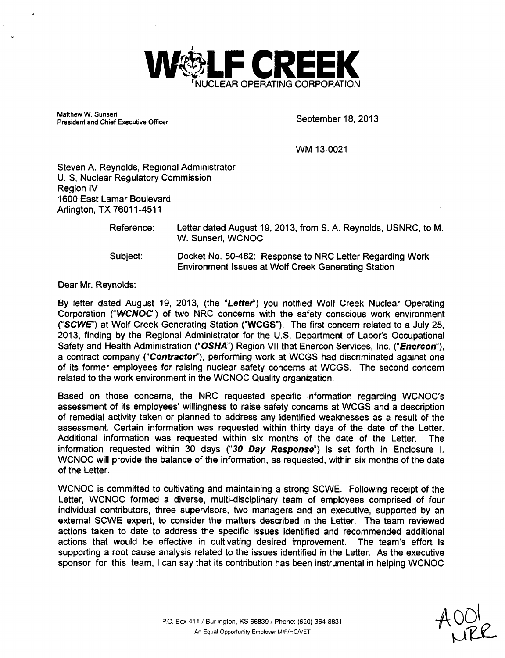

Matthew W. Sunseri waττηew vv. Sunseri<br>President and Chief Executive Officer September 18, 2013

WM 13-0021

Steven A. Reynolds, Regional Administrator U. **S,** Nuclear Regulatory Commission Region IV 1600 East Lamar Boulevard Arlington, TX 76011-4511

| Reference: | Letter dated August 19, 2013, from S. A. Reynolds, USNRC, to M.<br>W. Sunseri, WCNOC |
|------------|--------------------------------------------------------------------------------------|
| Subject:   | Docket No. 50-482: Response to NRC Letter Regarding Work                             |

Environment Issues at Wolf Creek Generating Station

Dear Mr. Reynolds:

By letter dated August 19, 2013, (the "Letter") you notified Wolf Creek Nuclear Operating Corporation **("WCNOC')** of two NRC concerns with the safety conscious work environment *("SCWE")* at Wolf Creek Generating Station **("WCGS").** The first concern related to a July 25, 2013, finding by the Regional Administrator for the U.S. Department of Labor's Occupational Safety and Health Administration **("OSHA")** Region VII that Enercon Services, Inc. *("Enercon"),* a contract company *("Contractor"),* performing work at WCGS had discriminated against one of its former employees for raising nuclear safety concerns at WCGS. The second concern related to the work environment in the WCNOC Quality organization.

Based on those concerns, the NRC requested specific information regarding WCNOC's assessment of its employees' willingness to raise safety concerns at WCGS and a description of remedial activity taken or planned to address any identified weaknesses as a result of the assessment. Certain information was requested within thirty days of the date of the Letter. Additional information was requested within six months of the date of the Letter. The information requested within 30 days *("30 Day Response")* is set forth in Enclosure I. **WCNOC** will provide the balance of the information, as requested, within six months of the date of the Letter.

WCNOC is committed to cultivating and maintaining a strong SCWE. Following receipt of the Letter, WCNOC formed a diverse, multi-disciplinary team of employees comprised of four individual contributors, three supervisors, two managers and an executive, supported by an external SCWE expert, to consider the matters described in the Letter. The team reviewed actions taken to date to address the specific issues identified and recommended additional actions that would be effective in cultivating desired improvement. The team's effort is supporting a root cause analysis related to the issues identified in the Letter. As the executive sponsor for this team, I can say that its contribution has been instrumental in helping WCNOC

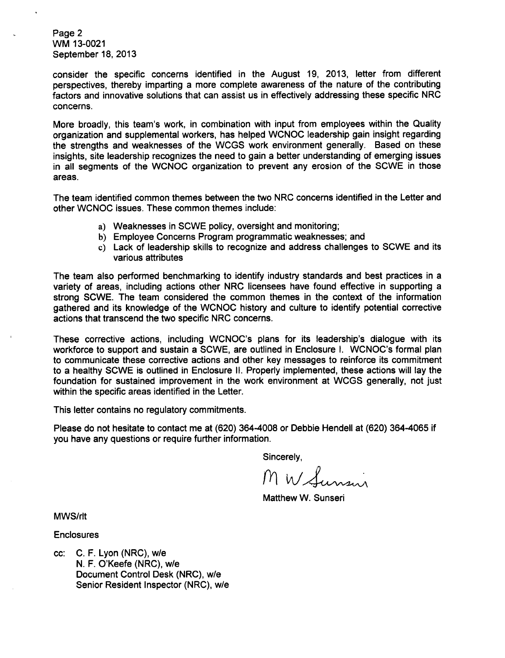Page 2 WM 13-0021 September 18, 2013

consider the specific concerns identified in the August 19, 2013, letter from different perspectives, thereby imparting a more complete awareness of the nature of the contributing factors and innovative solutions that can assist us in effectively addressing these specific NRC concerns.

More broadly, this team's work, in combination with input from employees within the Quality organization and supplemental workers, has helped WCNOC leadership gain insight regarding the strengths and weaknesses of the WCGS work environment generally. Based on these insights, site leadership recognizes the need to gain a better understanding of emerging issues in all segments of the WCNOC organization to prevent any erosion of the SCWE in those areas.

The team identified common themes between the two NRC concerns identified in the Letter and other WCNOC issues. These common themes include:

- a) Weaknesses in SCWE policy, oversight and monitoring;
- b) Employee Concerns Program programmatic weaknesses; and
- c) Lack of leadership skills to recognize and address challenges to SCWE and its various attributes

The team also performed benchmarking to identify industry standards and best practices in a variety of areas, including actions other NRC licensees have found effective in supporting a strong SCWE. The team considered the common themes in the context of the information gathered and its knowledge of the WCNOC history and culture to identify potential corrective actions that transcend the two specific NRC concerns.

These corrective actions, including WCNOC's plans for its leadership's dialogue with its workforce to support and sustain a SCWE, are outlined in Enclosure I. WCNOC's formal plan to communicate these corrective actions and other key messages to reinforce its commitment to a healthy SCWE is outlined in Enclosure **I1.** Properly implemented, these actions will lay the foundation for sustained improvement in the work environment at WCGS generally, not just within the specific areas identified in the Letter.

This letter contains no regulatory commitments.

Please do not hesitate to contact me at (620) 364-4008 or Debbie Hendell at (620) 364-4065 if you have any questions or require further information.

Sincerely,

M W Sunsur

Matthew W. Sunseri

MWS/rlt

**Enclosures** 

cc: C. F. Lyon (NRC), w/e N. F. O'Keefe (NRC), w/e Document Control Desk (NRC), w/e Senior Resident Inspector (NRC), w/e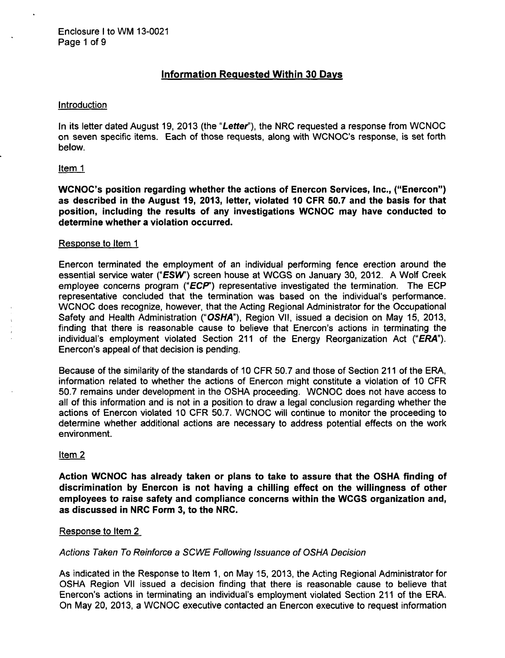# Information Requested Within **30** Days

# **Introduction**

In its letter dated August 19, 2013 (the "Letter"), the NRC requested a response from WCNOC on seven specific items. Each of those requests, along with WCNOC's response, is set forth below.

#### Item 1

WCNOC's position regarding whether the actions of Enercon Services, Inc., ("Enercon") as described in the August **19, 2013,** letter, violated **10** CFR **50.7** and the basis for that position, including the results of any investigations **WCNOC** may have conducted to determine whether a violation occurred.

#### Response to Item **1**

Enercon terminated the employment of an individual performing fence erection around the essential service water ("ESW') screen house at WCGS on January 30, 2012. A Wolf Creek employee concerns program **("ECP')** representative investigated the termination. The ECP representative concluded that the termination was based on the individual's performance. WCNOC does recognize, however, that the Acting Regional Administrator for the Occupational Safety and Health Administration ("OSHA"), Region VII, issued a decision on May 15, 2013, finding that there is reasonable cause to believe that Enercon's actions in terminating the individual's employment violated Section 211 of the Energy Reorganization Act *("ERA").* Enercon's appeal of that decision is pending.

Because of the similarity of the standards of 10 CFR 50.7 and those of Section 211 of the ERA, information related to whether the actions of Enercon might constitute a violation of 10 CFR 50.7 remains under development in the OSHA proceeding. WCNOC does not have access to all of this information and is not in a position to draw a legal conclusion regarding whether the actions of Enercon violated 10 CFR 50.7. WCNOC will continue to monitor the proceeding to determine whether additional actions are necessary to address potential effects on the work environment.

# Item 2

Action **WCNOC** has already taken or plans to take to assure that the **OSHA** finding of discrimination **by** Enercon is not having a chilling effect on the willingness of other employees to raise safety and compliance concerns within the **WCGS** organization and, as discussed in NRC Form **3,** to the NRC.

# Response to Item 2

# *Actions Taken To Reinforce a SCWE Following Issuance of OSHA Decision*

As indicated in the Response to Item 1, on May 15, 2013, the Acting Regional Administrator for OSHA Region VII issued a decision finding that there is reasonable cause to believe that Enercon's actions in terminating an individual's employment violated Section 211 of the ERA. On May 20, 2013, a WCNOC executive contacted an Enercon executive to request information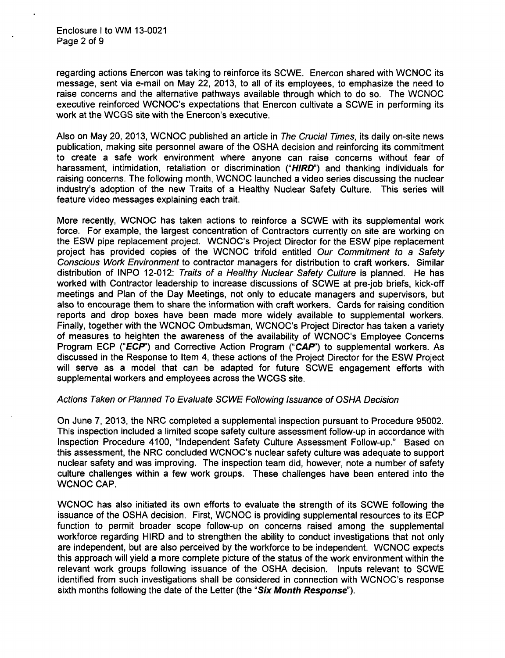regarding actions Enercon was taking to reinforce its SCWE. Enercon shared with WCNOC its message, sent via e-mail on May 22, 2013, to all of its employees, to emphasize the need to raise concerns and the alternative pathways available through which to do so. The WCNOC executive reinforced WCNOC's expectations that Enercon cultivate a SCWE in performing its work at the WCGS site with the Enercon's executive.

Also on May 20, 2013, WCNOC published an article in *The Crucial Times,* its daily on-site news publication, making site personnel aware of the OSHA decision and reinforcing its commitment to create a safe work environment where anyone can raise concerns without fear of harassment, intimidation, retaliation or discrimination ("HIRD") and thanking individuals for raising concerns. The following month, WCNOC launched a video series discussing the nuclear industry's adoption of the new Traits of a Healthy Nuclear Safety Culture. This series will feature video messages explaining each trait.

More recently, WCNOC has taken actions to reinforce a SCWE with its supplemental work force. For example, the largest concentration of Contractors currently on site are working on the ESW pipe replacement project. WCNOC's Project Director for the ESW pipe replacement project has provided copies of the WCNOC trifold entitled *Our Commitment to a Safety Conscious Work Environment* to contractor managers for distribution to craft workers. Similar distribution of INPO 12-012: *Traits of a Healthy Nuclear Safety Culture* is planned. He has worked with Contractor leadership to increase discussions of SCWE at pre-job briefs, kick-off meetings and Plan of the Day Meetings, not only to educate managers and supervisors, but also to encourage them to share the information with craft workers. Cards for raising condition reports and drop boxes have been made more widely available to supplemental workers. Finally, together with the WCNOC Ombudsman, WCNOC's Project Director has taken a variety of measures to heighten the awareness of the availability of WCNOC's Employee Concerns Program ECP **("ECP")** and Corrective Action Program **("CAP')** to supplemental workers. As discussed in the Response to Item 4, these actions of the Project Director for the ESW Project will serve as a model that can be adapted for future SCWE engagement efforts with supplemental workers and employees across the WCGS site.

# *Actions Taken or Planned To Evaluate SCWE Following Issuance of OSHA Decision*

On June 7, 2013, the NRC completed a supplemental inspection pursuant to Procedure 95002. This inspection included a limited scope safety culture assessment follow-up in accordance with Inspection Procedure 4100, "Independent Safety Culture Assessment Follow-up." Based on this assessment, the NRC concluded WCNOC's nuclear safety culture was adequate to support nuclear safety and was improving. The inspection team did, however, note a number of safety culture challenges within a few work groups. These challenges have been entered into the WCNOC CAP.

WCNOC has also initiated its own efforts to evaluate the strength of its SCWE following the issuance of the OSHA decision. First, WCNOC is providing supplemental resources to its ECP function to permit broader scope follow-up on concerns raised among the supplemental workforce regarding HIRD and to strengthen the ability to conduct investigations that not only are independent, but are also perceived by the workforce to be independent. WCNOC expects this approach will yield a more complete picture of the status of the work environment within the relevant work groups following issuance of the OSHA decision. Inputs relevant to SCWE identified from such investigations shall be considered in connection with WCNOC's response sixth months following the date of the Letter (the *"Six Month Response").*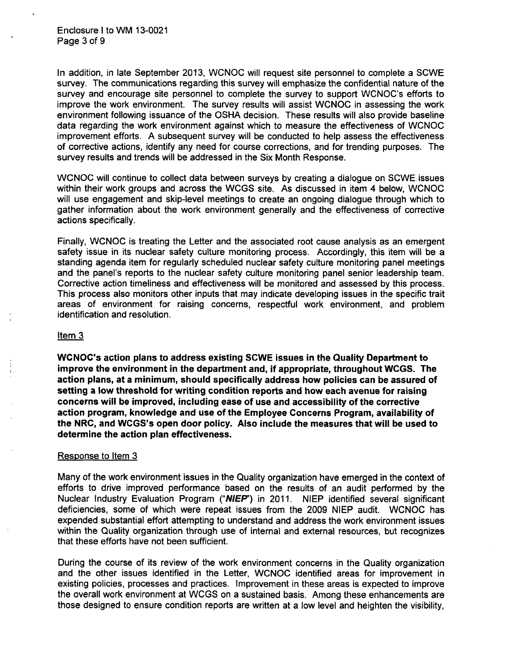In addition, in late September 2013, WCNOC will request site personnel to complete a SCWE survey. The communications regarding this survey will emphasize the confidential nature of the survey and encourage site personnel to complete the survey to support WCNOC's efforts to improve the work environment. The survey results will assist WCNOC in assessing the work environment following issuance of the OSHA decision. These results will also provide baseline data regarding the work environment against which to measure the effectiveness of WCNOC improvement efforts. A subsequent survey will be conducted to help assess the effectiveness of corrective actions, identify any need for course corrections, and for trending purposes. The survey results and trends will be addressed in the Six Month Response.

WCNOC will continue to collect data between surveys by creating a dialogue on SCWE issues within their work groups and across the WCGS site. As discussed in item 4 below, WCNOC will use engagement and skip-level meetings to create an ongoing dialogue through which to gather information about the work environment generally and the effectiveness of corrective actions specifically.

Finally, WCNOC is treating the Letter and the associated root cause analysis as an emergent safety issue in its nuclear safety culture monitoring process. Accordingly, this item will be a standing agenda item for regularly scheduled nuclear safety culture monitoring panel meetings and the panel's reports to the nuclear safety culture monitoring panel senior leadership team. Corrective action timeliness and effectiveness will be monitored and assessed by this process. This process also monitors other inputs that may indicate developing issues in the specific trait areas of environment for raising concerns, respectful work environment, and problem identification and resolution.

# Item 3

WCNOC's action plans to address existing **SCWE** issues in the Quality Department to improve the environment in the department and, if appropriate, throughout **WCGS.** The action plans, at a minimum, should specifically address how policies can be assured of setting a low threshold for writing condition reports and how each avenue for raising concerns will be improved, including ease of use and accessibility of the corrective action program, knowledge and use of the Employee Concerns Program, availability of the NRC, and WCGS's open door policy. Also include the measures that will be used to determine the action plan effectiveness.

# Response to Item **3**

Many of the work environment issues in the Quality organization have emerged in the context of efforts to drive improved performance based on the results of an audit performed by the Nuclear Industry Evaluation Program **("NIEP')** in 2011. NIEP identified several significant deficiencies, some of which were repeat issues from the 2009 NIEP audit. WCNOC has expended substantial effort attempting to understand and address the work environment issues within the Quality organization through use of internal and external resources, but recognizes that these efforts have not been sufficient.

During the course of its review of the work environment concerns in the Quality organization and the other issues identified in the Letter, WCNOC identified areas for improvement in existing policies, processes and practices. Improvement in these areas is expected to improve the overall work environment at WCGS on a sustained basis. Among these enhancements are those designed to ensure condition reports are written at a low level and heighten the visibility,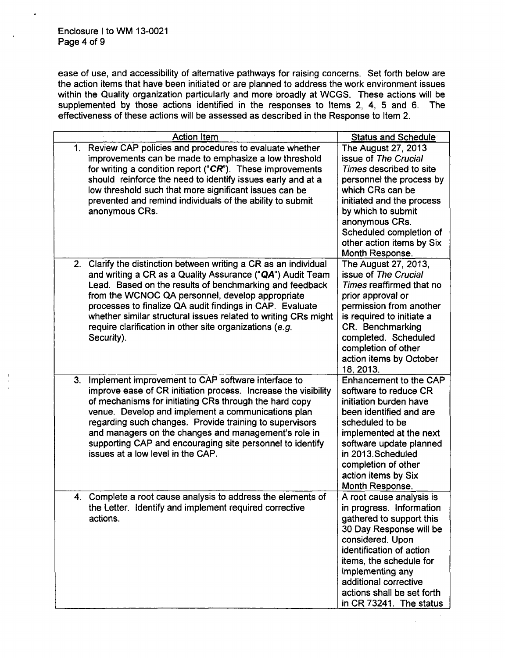.

ease of use, and accessibility of alternative pathways for raising concerns. Set forth below are the action items that have been initiated or are planned to address the work environment issues within the Quality organization particularly and more broadly at WCGS. These actions will be supplemented by those actions identified in the responses to Items 2, 4, 5 and 6. The effectiveness of these actions will be assessed as described in the Response to Item 2.

| <b>Action Item</b>                                                                                                                                                                                                                                                                                                                                                                                                                                              | <b>Status and Schedule</b>                                                                                                                                                                                                                                                                   |
|-----------------------------------------------------------------------------------------------------------------------------------------------------------------------------------------------------------------------------------------------------------------------------------------------------------------------------------------------------------------------------------------------------------------------------------------------------------------|----------------------------------------------------------------------------------------------------------------------------------------------------------------------------------------------------------------------------------------------------------------------------------------------|
| Review CAP policies and procedures to evaluate whether<br>$1_{\cdot}$<br>improvements can be made to emphasize a low threshold<br>for writing a condition report (" $CR$ "). These improvements<br>should reinforce the need to identify issues early and at a<br>low threshold such that more significant issues can be<br>prevented and remind individuals of the ability to submit<br>anonymous CRs.                                                         | The August 27, 2013<br>issue of The Crucial<br>Times described to site<br>personnel the process by<br>which CRs can be<br>initiated and the process<br>by which to submit<br>anonymous CRs.<br>Scheduled completion of<br>other action items by Six<br>Month Response.                       |
| Clarify the distinction between writing a CR as an individual<br>2.<br>and writing a CR as a Quality Assurance ("QA") Audit Team<br>Lead. Based on the results of benchmarking and feedback<br>from the WCNOC QA personnel, develop appropriate<br>processes to finalize QA audit findings in CAP. Evaluate<br>whether similar structural issues related to writing CRs might<br>require clarification in other site organizations (e.g.<br>Security).          | The August 27, 2013,<br>issue of The Crucial<br>Times reaffirmed that no<br>prior approval or<br>permission from another<br>is required to initiate a<br>CR. Benchmarking<br>completed. Scheduled<br>completion of other<br>action items by October<br>18, 2013.                             |
| Implement improvement to CAP software interface to<br>3.<br>improve ease of CR initiation process. Increase the visibility<br>of mechanisms for initiating CRs through the hard copy<br>venue. Develop and implement a communications plan<br>regarding such changes. Provide training to supervisors<br>and managers on the changes and management's role in<br>supporting CAP and encouraging site personnel to identify<br>issues at a low level in the CAP. | Enhancement to the CAP<br>software to reduce CR<br>initiation burden have<br>been identified and are<br>scheduled to be<br>implemented at the next<br>software update planned<br>in 2013. Scheduled<br>completion of other<br>action items by Six<br>Month Response.                         |
| 4. Complete a root cause analysis to address the elements of<br>the Letter. Identify and implement required corrective<br>actions.                                                                                                                                                                                                                                                                                                                              | A root cause analysis is<br>in progress. Information<br>gathered to support this<br>30 Day Response will be<br>considered. Upon<br>identification of action<br>items, the schedule for<br>implementing any<br>additional corrective<br>actions shall be set forth<br>in CR 73241. The status |

 $\bar{z}$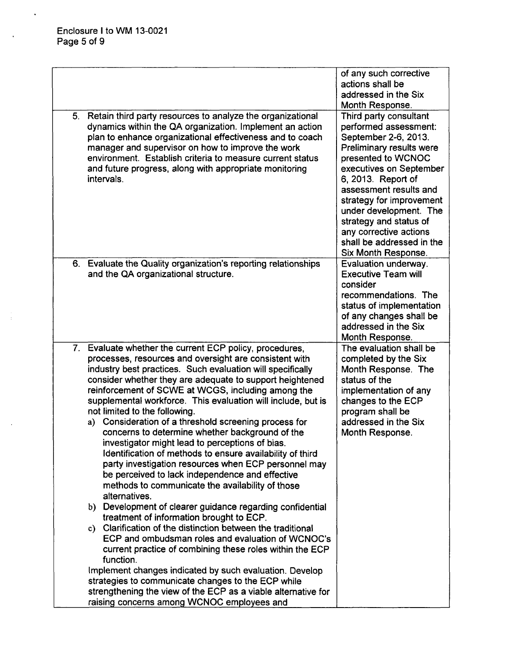$\ddot{\phantom{0}}$ 

÷,

|    | 5. Retain third party resources to analyze the organizational<br>dynamics within the QA organization. Implement an action<br>plan to enhance organizational effectiveness and to coach<br>manager and supervisor on how to improve the work<br>environment. Establish criteria to measure current status<br>and future progress, along with appropriate monitoring<br>intervals.                                                                                                                                                                                                                                                                                                                                                                                                                                                                                            | of any such corrective<br>actions shall be<br>addressed in the Six<br>Month Response.<br>Third party consultant<br>performed assessment:<br>September 2-6, 2013.<br>Preliminary results were<br>presented to WCNOC<br>executives on September<br>6, 2013. Report of<br>assessment results and<br>strategy for improvement<br>under development. The |
|----|-----------------------------------------------------------------------------------------------------------------------------------------------------------------------------------------------------------------------------------------------------------------------------------------------------------------------------------------------------------------------------------------------------------------------------------------------------------------------------------------------------------------------------------------------------------------------------------------------------------------------------------------------------------------------------------------------------------------------------------------------------------------------------------------------------------------------------------------------------------------------------|-----------------------------------------------------------------------------------------------------------------------------------------------------------------------------------------------------------------------------------------------------------------------------------------------------------------------------------------------------|
|    |                                                                                                                                                                                                                                                                                                                                                                                                                                                                                                                                                                                                                                                                                                                                                                                                                                                                             | strategy and status of<br>any corrective actions<br>shall be addressed in the<br>Six Month Response.                                                                                                                                                                                                                                                |
|    | 6. Evaluate the Quality organization's reporting relationships<br>and the QA organizational structure.                                                                                                                                                                                                                                                                                                                                                                                                                                                                                                                                                                                                                                                                                                                                                                      | Evaluation underway.<br><b>Executive Team will</b><br>consider<br>recommendations. The<br>status of implementation<br>of any changes shall be<br>addressed in the Six<br>Month Response.                                                                                                                                                            |
| 7. | Evaluate whether the current ECP policy, procedures,<br>processes, resources and oversight are consistent with<br>industry best practices. Such evaluation will specifically<br>consider whether they are adequate to support heightened<br>reinforcement of SCWE at WCGS, including among the<br>supplemental workforce. This evaluation will include, but is<br>not limited to the following.<br>Consideration of a threshold screening process for<br>a)<br>concerns to determine whether background of the<br>investigator might lead to perceptions of bias.<br>Identification of methods to ensure availability of third<br>party investigation resources when ECP personnel may<br>be perceived to lack independence and effective<br>methods to communicate the availability of those<br>alternatives.<br>b) Development of clearer guidance regarding confidential | The evaluation shall be<br>completed by the Six<br>Month Response. The<br>status of the<br>implementation of any<br>changes to the ECP<br>program shall be<br>addressed in the Six<br>Month Response.                                                                                                                                               |
|    | treatment of information brought to ECP.<br>c) Clarification of the distinction between the traditional<br>ECP and ombudsman roles and evaluation of WCNOC's<br>current practice of combining these roles within the ECP<br>function.<br>Implement changes indicated by such evaluation. Develop<br>strategies to communicate changes to the ECP while<br>strengthening the view of the ECP as a viable alternative for<br>raising concerns among WCNOC employees and                                                                                                                                                                                                                                                                                                                                                                                                       |                                                                                                                                                                                                                                                                                                                                                     |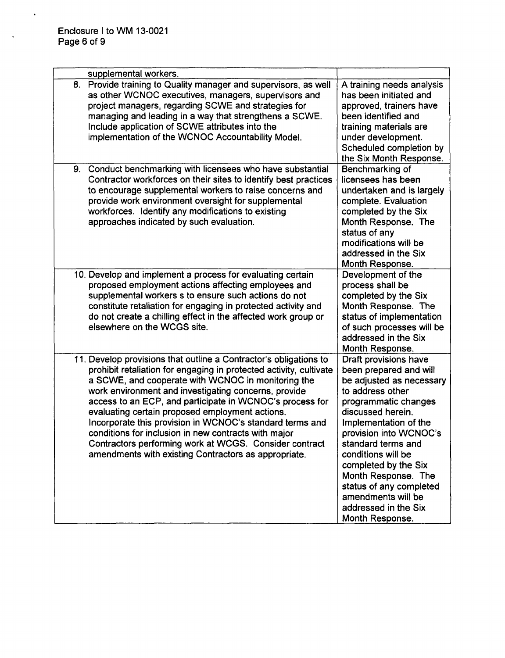$\ddot{\phantom{a}}$ 

 $\ddot{\phantom{a}}$ 

|    | supplemental workers.                                                                                                                                                                                                                                                                                                                                                                                                                                                                                                                                                                                      |                                                                                                                                                                                                                                                                                                                                                                                        |
|----|------------------------------------------------------------------------------------------------------------------------------------------------------------------------------------------------------------------------------------------------------------------------------------------------------------------------------------------------------------------------------------------------------------------------------------------------------------------------------------------------------------------------------------------------------------------------------------------------------------|----------------------------------------------------------------------------------------------------------------------------------------------------------------------------------------------------------------------------------------------------------------------------------------------------------------------------------------------------------------------------------------|
| 8. | Provide training to Quality manager and supervisors, as well<br>as other WCNOC executives, managers, supervisors and<br>project managers, regarding SCWE and strategies for<br>managing and leading in a way that strengthens a SCWE.<br>Include application of SCWE attributes into the<br>implementation of the WCNOC Accountability Model.                                                                                                                                                                                                                                                              | A training needs analysis<br>has been initiated and<br>approved, trainers have<br>been identified and<br>training materials are<br>under development.<br>Scheduled completion by<br>the Six Month Response.                                                                                                                                                                            |
| 9. | Conduct benchmarking with licensees who have substantial<br>Contractor workforces on their sites to identify best practices<br>to encourage supplemental workers to raise concerns and<br>provide work environment oversight for supplemental<br>workforces. Identify any modifications to existing<br>approaches indicated by such evaluation.                                                                                                                                                                                                                                                            | Benchmarking of<br>licensees has been<br>undertaken and is largely<br>complete. Evaluation<br>completed by the Six<br>Month Response. The<br>status of any<br>modifications will be<br>addressed in the Six<br>Month Response.                                                                                                                                                         |
|    | 10. Develop and implement a process for evaluating certain<br>proposed employment actions affecting employees and<br>supplemental workers s to ensure such actions do not<br>constitute retaliation for engaging in protected activity and<br>do not create a chilling effect in the affected work group or<br>elsewhere on the WCGS site.                                                                                                                                                                                                                                                                 | Development of the<br>process shall be<br>completed by the Six<br>Month Response. The<br>status of implementation<br>of such processes will be<br>addressed in the Six<br>Month Response.                                                                                                                                                                                              |
|    | 11. Develop provisions that outline a Contractor's obligations to<br>prohibit retaliation for engaging in protected activity, cultivate<br>a SCWE, and cooperate with WCNOC in monitoring the<br>work environment and investigating concerns, provide<br>access to an ECP, and participate in WCNOC's process for<br>evaluating certain proposed employment actions.<br>Incorporate this provision in WCNOC's standard terms and<br>conditions for inclusion in new contracts with major<br>Contractors performing work at WCGS. Consider contract<br>amendments with existing Contractors as appropriate. | Draft provisions have<br>been prepared and will<br>be adjusted as necessary<br>to address other<br>programmatic changes<br>discussed herein.<br>Implementation of the<br>provision into WCNOC's<br>standard terms and<br>conditions will be<br>completed by the Six<br>Month Response. The<br>status of any completed<br>amendments will be<br>addressed in the Six<br>Month Response. |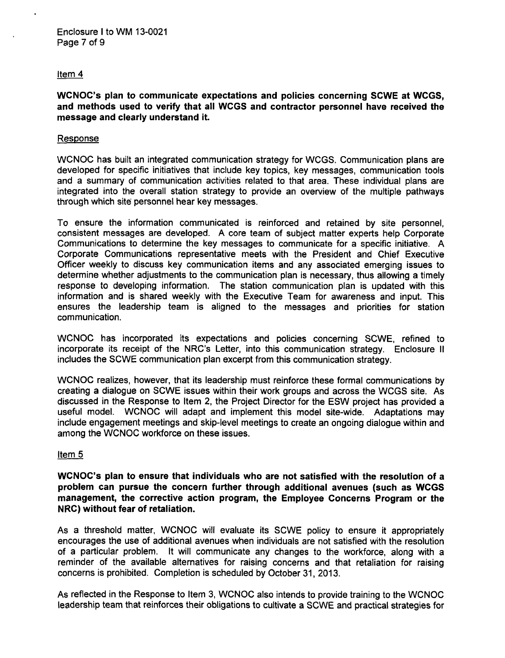# Item 4

WCNOC's plan to communicate expectations and policies concerning SCWE at WCGS, and methods used to verify that all WCGS and contractor personnel have received the message and clearly understand it.

#### Response

WCNOC has built an integrated communication strategy for WCGS. Communication plans are developed for specific initiatives that include key topics, key messages, communication tools and a summary of communication activities related to that area. These individual plans are integrated into the overall station strategy to provide an overview of the multiple pathways through which site personnel hear key messages.

To ensure the information communicated is reinforced and retained by site personnel, consistent messages are developed. A core team of subject matter experts help Corporate Communications to determine the key messages to communicate for a specific initiative. A Corporate Communications representative meets with the President and Chief Executive Officer weekly to discuss key communication items and any associated emerging issues to determine whether adjustments to the communication plan is necessary, thus allowing a timely response to developing information. The station communication plan is updated with this information and is shared weekly with the Executive Team for awareness and input. This ensures the leadership team is aligned to the messages and priorities for station communication.

WCNOC has incorporated its expectations and policies concerning SCWE, refined to incorporate its receipt of the NRC's Letter, into this communication strategy. Enclosure II includes the SCWE communication plan excerpt from this communication strategy.

WCNOC realizes, however, that its leadership must reinforce these formal communications by creating a dialogue on SCWE issues within their work groups and across the WCGS site. As discussed in the Response to Item 2, the Project Director for the ESW project has provided a useful model. WCNOC will adapt and implement this model site-wide. Adaptations may include engagement meetings and skip-level meetings to create an ongoing dialogue within and among the WCNOC workforce on these issues.

# Item 5

WCNOC's plan to ensure that individuals who are not satisfied with the resolution of a problem can pursue the concern further through additional avenues (such as WCGS management, the corrective action program, the Employee Concerns Program or the NRC) without fear of retaliation.

As a threshold matter, WCNOC will evaluate its SCWE policy to ensure it appropriately encourages the use of additional avenues when individuals are not satisfied with the resolution of a particular problem. It will communicate any changes to the workforce, along with a reminder of the available alternatives for raising concerns and that retaliation for raising concerns is prohibited. Completion is scheduled by October 31, 2013.

As reflected in the Response to Item 3, WCNOC also intends to provide training to the WCNOC leadership team that reinforces their obligations to cultivate a SCWE and practical strategies for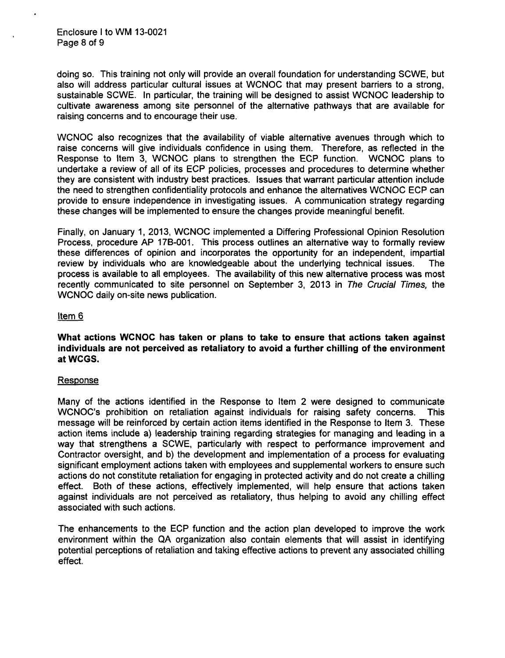Enclosure I to WM 13-0021 Page 8 of 9

doing so. This training not only will provide an overall foundation for understanding SCWE, but also will address particular cultural issues at WCNOC that may present barriers to a strong, sustainable SCWE. In particular, the training will be designed to assist WCNOC leadership to cultivate awareness among site personnel of the alternative pathways that are available for raising concerns and to encourage their use.

**WCNOC** also recognizes that the availability of viable alternative avenues through which to raise concerns will give individuals confidence in using them. Therefore, as reflected in the Response to Item 3, WCNOC plans to strengthen the ECP function. WCNOC plans to undertake a review of all of its ECP policies, processes and procedures to determine whether they are consistent with industry best practices. Issues that warrant particular attention include the need to strengthen confidentiality protocols and enhance the alternatives WCNOC ECP can provide to ensure independence in investigating issues. A communication strategy regarding these changes will be implemented to ensure the changes provide meaningful benefit.

Finally, on January 1, 2013, WCNOC implemented a Differing Professional Opinion Resolution Process, procedure AP 17B-001. This process outlines an alternative way to formally review these differences of opinion and incorporates the opportunity for an independent, impartial review by individuals who are knowledgeable about the underlying technical issues. The process is available to all employees. The availability of this new alternative process was most recently communicated to site personnel on September 3, 2013 in *The Crucial Times,* the WCNOC daily on-site news publication.

#### Item 6

What actions **WCNOC** has taken or plans to take to ensure that actions taken against individuals are not perceived as retaliatory to avoid a further chilling of the environment at **WCGS.**

#### Response

Many of the actions identified in the Response to Item 2 were designed to communicate WCNOC's prohibition on retaliation against individuals for raising safety concerns. This message will be reinforced by certain action items identified in the Response to Item 3. These action items include a) leadership training regarding strategies for managing and leading in a way that strengthens a SCWE, particularly with respect to performance improvement and Contractor oversight, and b) the development and implementation of a process for evaluating significant employment actions taken with employees and supplemental workers to ensure such actions do not constitute retaliation for engaging in protected activity and do not create a chilling effect. Both of these actions, effectively implemented, will help ensure that actions taken against individuals are not perceived as retaliatory, thus helping to avoid any chilling effect associated with such actions.

The enhancements to the ECP function and the action plan developed to improve the work environment within the QA organization also contain elements that will assist in identifying potential perceptions of retaliation and taking effective actions to prevent any associated chilling effect.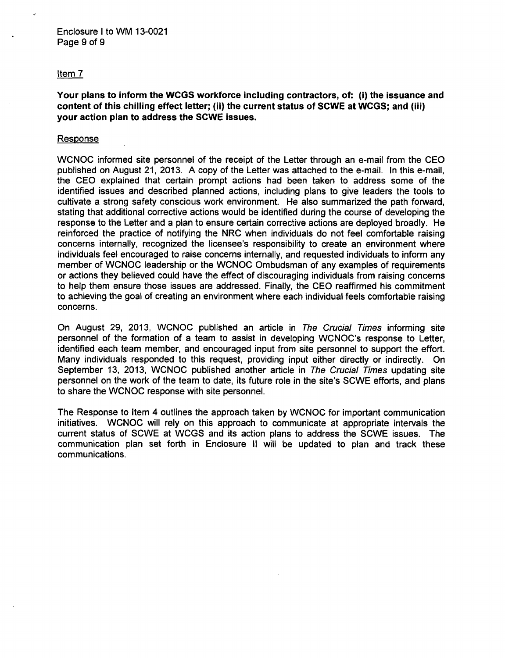#### Item 7

Your plans to inform the WCGS workforce including contractors, of: (i) the issuance and content of this chilling effect letter; (ii) the current status of SCWE at WCGS; and (iii) your action plan to address the SCWE issues.

#### Response

WCNOC informed site personnel of the receipt of the Letter through an e-mail from the CEO published on August 21, 2013. A copy of the Letter was attached to the e-mail. In this e-mail, the CEO explained that certain prompt actions had been taken to address some of the identified issues and described planned actions, including plans to give leaders the tools to cultivate a strong safety conscious work environment. He also summarized the path forward, stating that additional corrective actions would be identified during the course of developing the response to the Letter and a plan to ensure certain corrective actions are deployed broadly. He reinforced the practice of notifying the NRC when individuals do not feel comfortable raising concerns internally, recognized the licensee's responsibility to create an environment where individuals feel encouraged to raise concerns internally, and requested individuals to inform any member of WCNOC leadership or the WCNOC Ombudsman of any examples of requirements or actions they believed could have the effect of discouraging individuals from raising concerns to help them ensure those issues are addressed. Finally, the CEO reaffirmed his commitment to achieving the goal of creating an environment where each individual feels comfortable raising concerns.

On August 29, 2013, WCNOC published an article in *The Crucial Times* informing site personnel of the formation of a team to assist in developing WCNOC's response to Letter, identified each team member, and encouraged input from site personnel to support the effort. Many individuals responded to this request, providing input either directly or indirectly. On September 13, 2013, WCNOC published another article in *The Crucial Times* updating site personnel on the work of the team to date, its future role in the site's SCWE efforts, and plans to share the WCNOC response with site personnel.

The Response to Item 4 outlines the approach taken by WCNOC for important communication initiatives. WCNOC will rely on this approach to communicate at appropriate intervals the current status of SCWE at WCGS and its action plans to address the SCWE issues. The communication plan set forth in Enclosure II will be updated to plan and track these communications.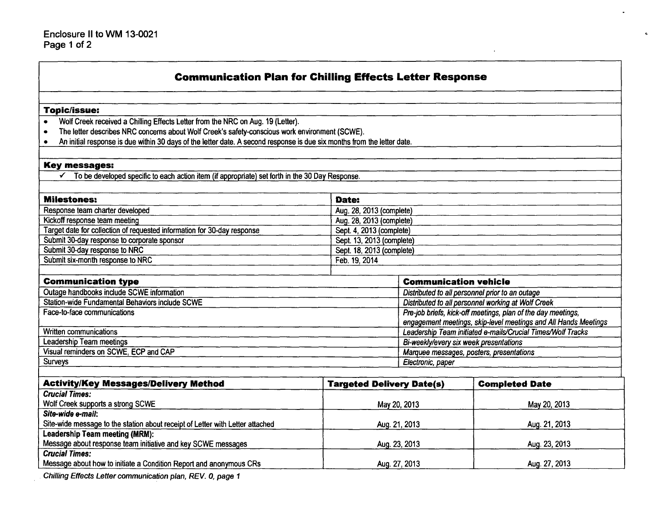| <b>Communication Plan for Chilling Effects Letter Response</b>                                                          |                                  |                                                                 |                       |  |
|-------------------------------------------------------------------------------------------------------------------------|----------------------------------|-----------------------------------------------------------------|-----------------------|--|
| <b>Topic/issue:</b>                                                                                                     |                                  |                                                                 |                       |  |
| Wolf Creek received a Chilling Effects Letter from the NRC on Aug. 19 (Letter).                                         |                                  |                                                                 |                       |  |
| The letter describes NRC concerns about Wolf Creek's safety-conscious work environment (SCWE).<br>$\bullet$             |                                  |                                                                 |                       |  |
| An initial response is due within 30 days of the letter date. A second response is due six months from the letter date. |                                  |                                                                 |                       |  |
| <b>Key messages:</b>                                                                                                    |                                  |                                                                 |                       |  |
| To be developed specific to each action item (if appropriate) set forth in the 30 Day Response.                         |                                  |                                                                 |                       |  |
|                                                                                                                         |                                  |                                                                 |                       |  |
| <b>Milestones:</b>                                                                                                      | Date:                            |                                                                 |                       |  |
| Response team charter developed                                                                                         | Aug. 28, 2013 (complete)         |                                                                 |                       |  |
| Kickoff response team meeting                                                                                           | Aug. 28, 2013 (complete)         |                                                                 |                       |  |
| Target date for collection of requested information for 30-day response                                                 | Sept. 4, 2013 (complete)         |                                                                 |                       |  |
| Submit 30-day response to corporate sponsor                                                                             |                                  | Sept. 13, 2013 (complete)                                       |                       |  |
| Submit 30-day response to NRC                                                                                           | Sept. 18, 2013 (complete)        |                                                                 |                       |  |
| Submit six-month response to NRC                                                                                        | Feb. 19, 2014                    |                                                                 |                       |  |
| <b>Communication type</b>                                                                                               |                                  | <b>Communication vehicle</b>                                    |                       |  |
| Outage handbooks include SCWE information                                                                               |                                  | Distributed to all personnel prior to an outage                 |                       |  |
| Station-wide Fundamental Behaviors include SCWE                                                                         |                                  | Distributed to all personnel working at Wolf Creek              |                       |  |
| Face-to-face communications                                                                                             |                                  | Pre-job briefs, kick-off meetings, plan of the day meetings,    |                       |  |
|                                                                                                                         |                                  | engagement meetings, skip-level meetings and All Hands Meetings |                       |  |
| Written communications                                                                                                  |                                  | Leadership Team initiated e-mails/Crucial Times/Wolf Tracks     |                       |  |
| Leadership Team meetings                                                                                                |                                  | Bi-weekly/every six week presentations                          |                       |  |
| Visual reminders on SCWE, ECP and CAP                                                                                   |                                  | Marquee messages, posters, presentations                        |                       |  |
| <b>Surveys</b>                                                                                                          |                                  | Electronic, paper                                               |                       |  |
|                                                                                                                         |                                  |                                                                 |                       |  |
| <b>Activity/Key Messages/Delivery Method</b>                                                                            | <b>Targeted Delivery Date(s)</b> |                                                                 | <b>Completed Date</b> |  |
| <b>Crucial Times:</b>                                                                                                   |                                  |                                                                 |                       |  |
| Wolf Creek supports a strong SCWE                                                                                       | May 20, 2013                     |                                                                 | May 20, 2013          |  |
| Site-wide e-mail:                                                                                                       |                                  |                                                                 |                       |  |
| Site-wide message to the station about receipt of Letter with Letter attached                                           | Aug. 21, 2013                    |                                                                 | Aug. 21, 2013         |  |
| Leadership Team meeting (MRM):                                                                                          |                                  |                                                                 |                       |  |
| Message about response team initiative and key SCWE messages                                                            | Aug. 23, 2013                    |                                                                 | Aug. 23, 2013         |  |
| <b>Crucial Times:</b>                                                                                                   |                                  |                                                                 |                       |  |
| Message about how to initiate a Condition Report and anonymous CRs                                                      | Aug. 27, 2013                    |                                                                 | Aug. 27, 2013         |  |
| Chillipa Effects Letter communication plan. BEV, A. page 1.                                                             |                                  |                                                                 |                       |  |

 $\bullet$ 

**Contract Contract** 

 $\bullet$ 

*Chilling Effects Letter communication plan, REV.* **0,** page 1